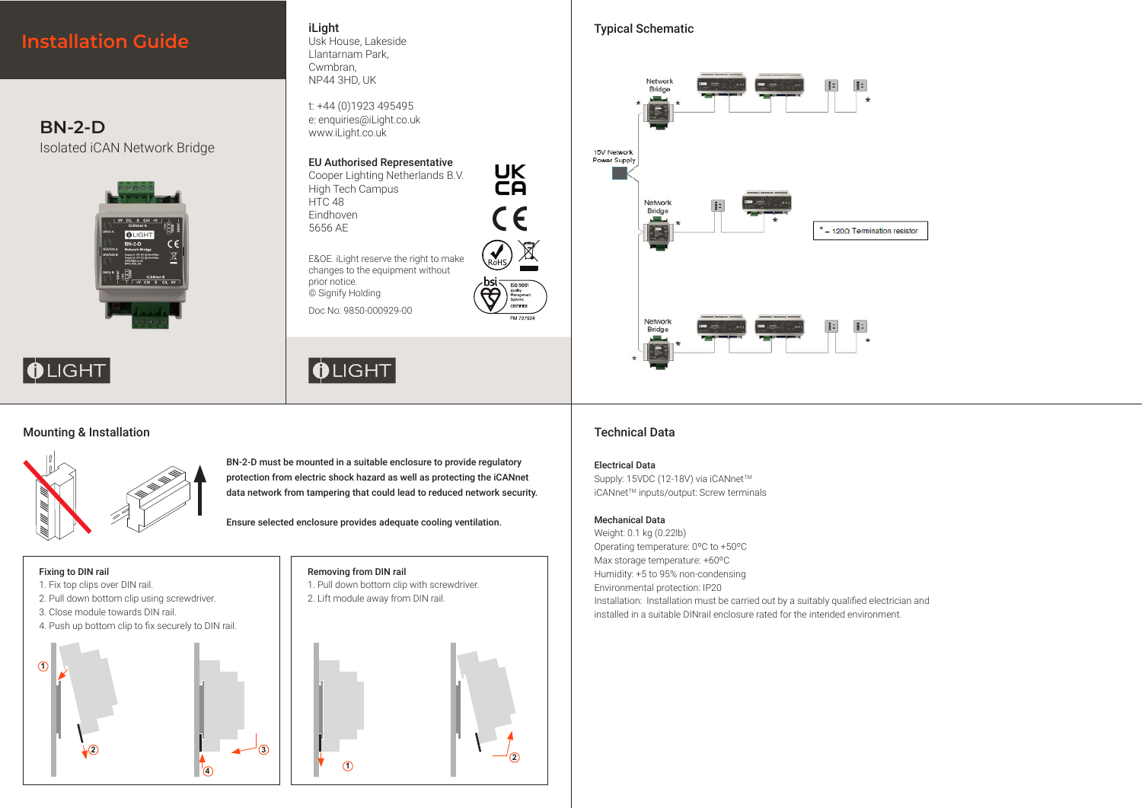

# Mounting & Installation



BN-2-D must be mounted in a suitable enclosure to provide regulatory protection from electric shock hazard as well as protecting the iCANnet data network from tampering that could lead to reduced network security.

Ensure selected enclosure provides adequate cooling ventilation.

### Fixing to DIN rail

- 1. Fix top clips over DIN rail.
- 2. Pull down bottom clip using screwdriver.
- 3. Close module towards DIN rail.
- 4. Push up bottom clip to fix securely to DIN rail.





# Removing from DIN rail

- 1. Pull down bottom clip with screwdriver. 2. Lift module away from DIN rail.
- 



# Technical Data

### Electrical Data

Supply: 15VDC (12-18V) via iCANnet™ iCANnet™ inputs/output: Screw terminals

### Mechanical Data

Weight: 0.1 kg (0.22lb) Operating temperature: 0ºC to +50ºC Max storage temperature: +60ºC Humidity: +5 to 95% non-condensing Environmental protection: IP20 Installation: Installation must be carried out by a suitably qualified electrician and installed in a suitable DINrail enclosure rated for the intended environment.